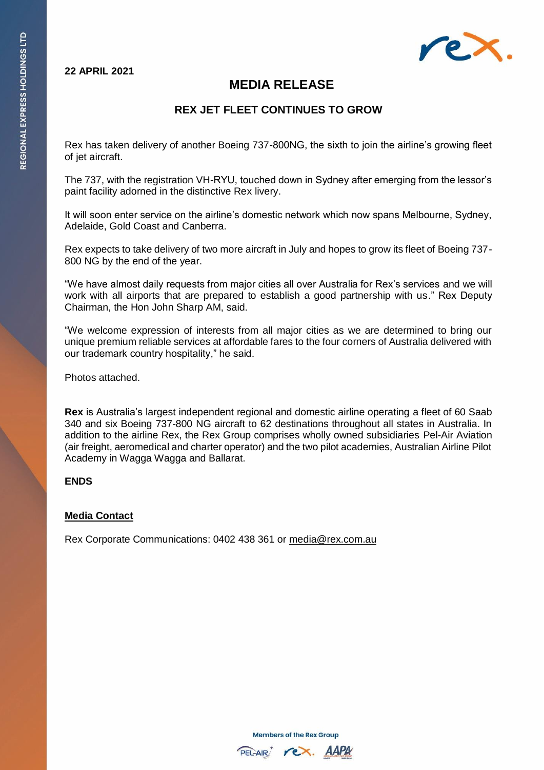### **22 APRIL 2021**



# **MEDIA RELEASE**

## **REX JET FLEET CONTINUES TO GROW**

Rex has taken delivery of another Boeing 737-800NG, the sixth to join the airline's growing fleet of jet aircraft.

The 737, with the registration VH-RYU, touched down in Sydney after emerging from the lessor's paint facility adorned in the distinctive Rex livery.

It will soon enter service on the airline's domestic network which now spans Melbourne, Sydney, Adelaide, Gold Coast and Canberra.

Rex expects to take delivery of two more aircraft in July and hopes to grow its fleet of Boeing 737- 800 NG by the end of the year.

"We have almost daily requests from major cities all over Australia for Rex's services and we will work with all airports that are prepared to establish a good partnership with us." Rex Deputy Chairman, the Hon John Sharp AM, said.

"We welcome expression of interests from all major cities as we are determined to bring our unique premium reliable services at affordable fares to the four corners of Australia delivered with our trademark country hospitality," he said.

Photos attached.

**Rex** is Australia's largest independent regional and domestic airline operating a fleet of 60 Saab 340 and six Boeing 737-800 NG aircraft to 62 destinations throughout all states in Australia. In addition to the airline Rex, the Rex Group comprises wholly owned subsidiaries Pel-Air Aviation (air freight, aeromedical and charter operator) and the two pilot academies, Australian Airline Pilot Academy in Wagga Wagga and Ballarat.

### **ENDS**

### **Media Contact**

Rex Corporate Communications: 0402 438 361 or [media@rex.com.au](mailto:media@rex.com.au)

**Members of the Rex Group**